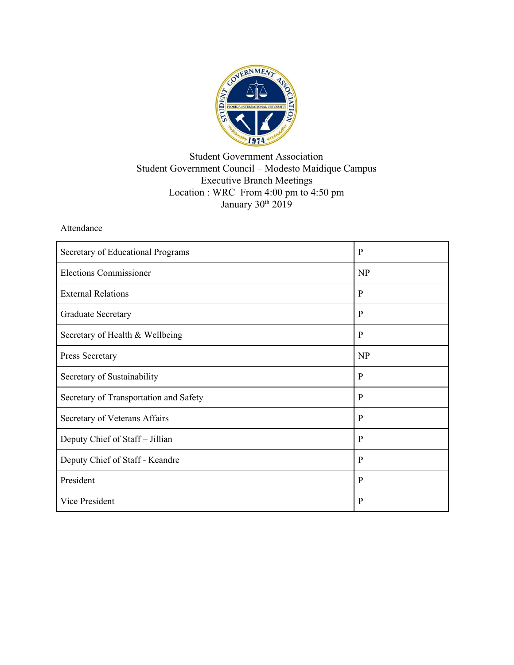

## Student Government Association Student Government Council – Modesto Maidique Campus Executive Branch Meetings Location : WRC From 4:00 pm to 4:50 pm January 30<sup>th</sup> 2019

## Attendance

| Secretary of Educational Programs      | P            |
|----------------------------------------|--------------|
| <b>Elections Commissioner</b>          | NP           |
| <b>External Relations</b>              | P            |
| <b>Graduate Secretary</b>              | P            |
| Secretary of Health & Wellbeing        | $\mathbf{P}$ |
| Press Secretary                        | <b>NP</b>    |
| Secretary of Sustainability            | P            |
| Secretary of Transportation and Safety | P            |
| Secretary of Veterans Affairs          | P            |
| Deputy Chief of Staff - Jillian        | P            |
| Deputy Chief of Staff - Keandre        | P            |
| President                              | P            |
| <b>Vice President</b>                  | P            |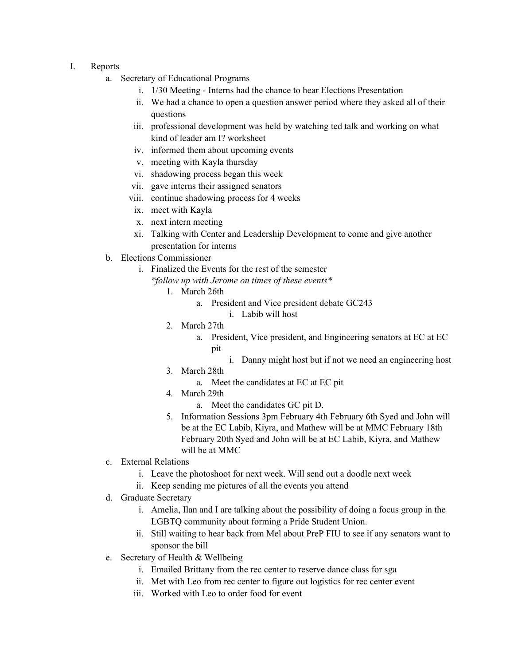- I. Reports
	- a. Secretary of Educational Programs
		- i. 1/30 Meeting Interns had the chance to hear Elections Presentation
		- ii. We had a chance to open a question answer period where they asked all of their questions
		- iii. professional development was held by watching ted talk and working on what kind of leader am I? worksheet
		- iv. informed them about upcoming events
		- v. meeting with Kayla thursday
		- vi. shadowing process began this week
		- vii. gave interns their assigned senators
		- viii. continue shadowing process for 4 weeks
		- ix. meet with Kayla
		- x. next intern meeting
		- xi. Talking with Center and Leadership Development to come and give another presentation for interns
	- b. Elections Commissioner
		- i. Finalized the Events for the rest of the semester
			- *\*follow up with Jerome on times of these events\**
				- 1. March 26th
					- a. President and Vice president debate GC243
						- i. Labib will host
				- 2. March 27th
					- a. President, Vice president, and Engineering senators at EC at EC pit
						- i. Danny might host but if not we need an engineering host
				- 3. March 28th
					- a. Meet the candidates at EC at EC pit
				- 4. March 29th
					- a. Meet the candidates GC pit D.
				- 5. Information Sessions 3pm February 4th February 6th Syed and John will be at the EC Labib, Kiyra, and Mathew will be at MMC February 18th February 20th Syed and John will be at EC Labib, Kiyra, and Mathew will be at MMC
	- c. External Relations
		- i. Leave the photoshoot for next week. Will send out a doodle next week
		- ii. Keep sending me pictures of all the events you attend
	- d. Graduate Secretary
		- i. Amelia, Ilan and I are talking about the possibility of doing a focus group in the LGBTQ community about forming a Pride Student Union.
		- ii. Still waiting to hear back from Mel about PreP FIU to see if any senators want to sponsor the bill
	- e. Secretary of Health & Wellbeing
		- i. Emailed Brittany from the rec center to reserve dance class for sga
		- ii. Met with Leo from rec center to figure out logistics for rec center event
		- iii. Worked with Leo to order food for event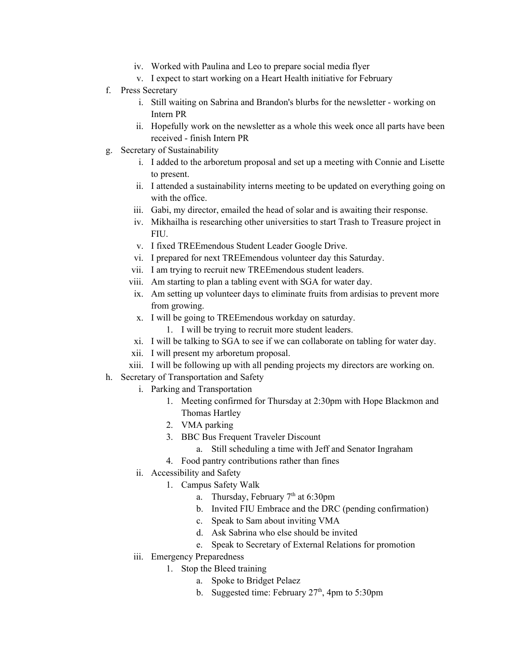- iv. Worked with Paulina and Leo to prepare social media flyer
- v. I expect to start working on a Heart Health initiative for February
- f. Press Secretary
	- i. Still waiting on Sabrina and Brandon's blurbs for the newsletter working on Intern PR
	- ii. Hopefully work on the newsletter as a whole this week once all parts have been received - finish Intern PR
- g. Secretary of Sustainability
	- i. I added to the arboretum proposal and set up a meeting with Connie and Lisette to present.
	- ii. I attended a sustainability interns meeting to be updated on everything going on with the office
	- iii. Gabi, my director, emailed the head of solar and is awaiting their response.
	- iv. Mikhailha is researching other universities to start Trash to Treasure project in **FIU**
	- v. I fixed TREEmendous Student Leader Google Drive.
	- vi. I prepared for next TREEmendous volunteer day this Saturday.
	- vii. I am trying to recruit new TREEmendous student leaders.
	- viii. Am starting to plan a tabling event with SGA for water day.
	- ix. Am setting up volunteer days to eliminate fruits from ardisias to prevent more from growing.
	- x. I will be going to TREEmendous workday on saturday.
		- 1. I will be trying to recruit more student leaders.
	- xi. I will be talking to SGA to see if we can collaborate on tabling for water day.
	- xii. I will present my arboretum proposal.
	- xiii. I will be following up with all pending projects my directors are working on.
- h. Secretary of Transportation and Safety
	- i. Parking and Transportation
		- 1. Meeting confirmed for Thursday at 2:30pm with Hope Blackmon and Thomas Hartley
		- 2. VMA parking
		- 3. BBC Bus Frequent Traveler Discount
			- a. Still scheduling a time with Jeff and Senator Ingraham
		- 4. Food pantry contributions rather than fines
	- ii. Accessibility and Safety
		- 1. Campus Safety Walk
			- a. Thursday, February  $7<sup>th</sup>$  at 6:30pm
			- b. Invited FIU Embrace and the DRC (pending confirmation)
			- c. Speak to Sam about inviting VMA
			- d. Ask Sabrina who else should be invited
			- e. Speak to Secretary of External Relations for promotion
	- iii. Emergency Preparedness
		- 1. Stop the Bleed training
			- a. Spoke to Bridget Pelaez
			- b. Suggested time: February  $27<sup>th</sup>$ , 4pm to 5:30pm